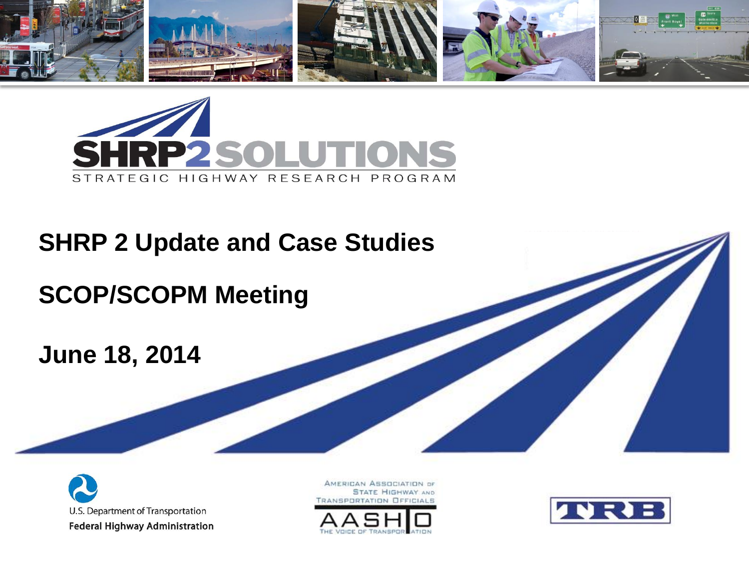



### **SHRP 2 Update and Case Studies**

## **SCOP/SCOPM Meeting**

#### **June 18, 2014**



AMERICAN ASSOCIATION OF **STATE HIGHWAY AND** ANSPORTATION OFFICIALS



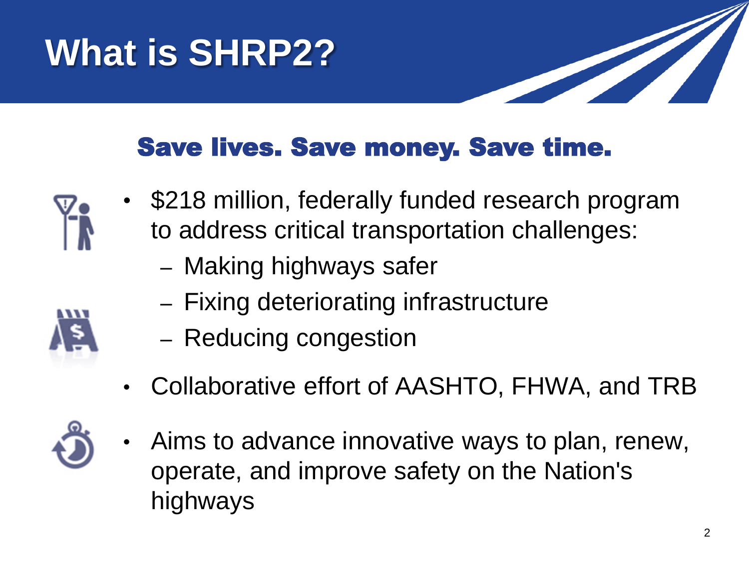# **What is SHRP2?**



### Save lives. Save money. Save time.



- \$218 million, federally funded research program to address critical transportation challenges:
	- Making highways safer
	- Fixing deteriorating infrastructure
	- Reducing congestion
- Collaborative effort of AASHTO, FHWA, and TRB
- 
- Aims to advance innovative ways to plan, renew, operate, and improve safety on the Nation's highways



2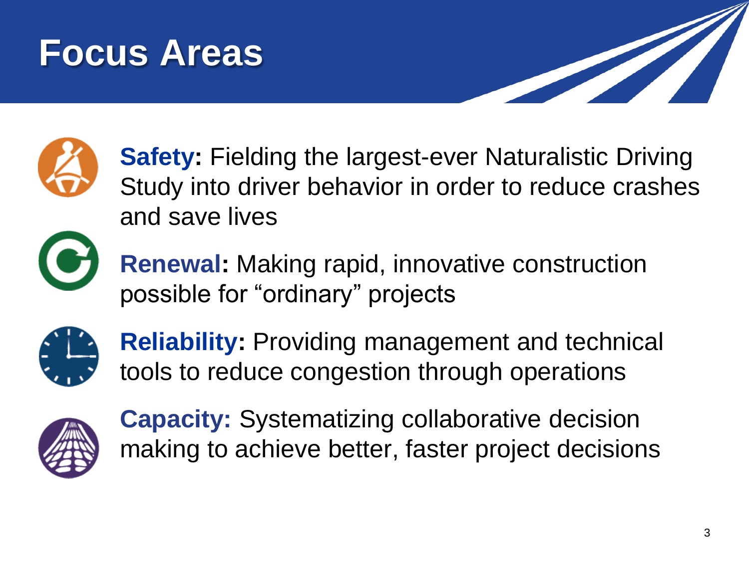## **Focus Areas**





**Safety:** Fielding the largest-ever Naturalistic Driving Study into driver behavior in order to reduce crashes and save lives



**Renewal:** Making rapid, innovative construction possible for "ordinary" projects



**Reliability:** Providing management and technical tools to reduce congestion through operations



**Capacity:** Systematizing collaborative decision making to achieve better, faster project decisions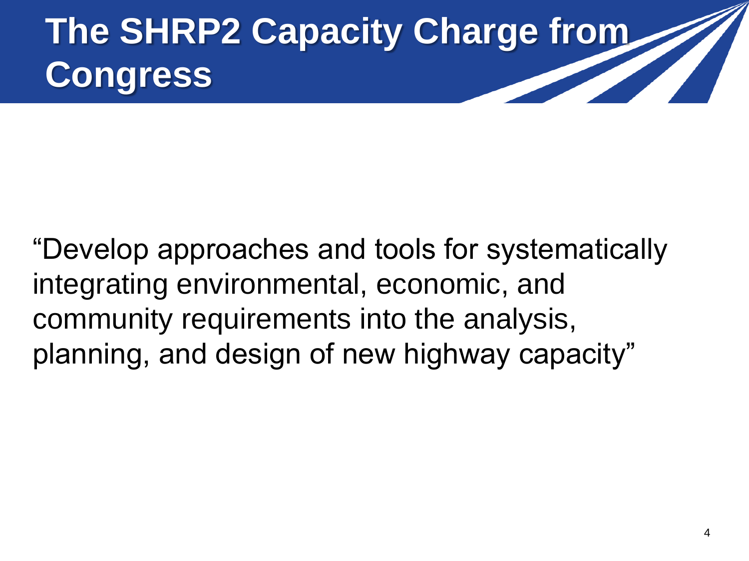**The SHRP2 Capacity Charge from Congress**

"Develop approaches and tools for systematically integrating environmental, economic, and community requirements into the analysis, planning, and design of new highway capacity"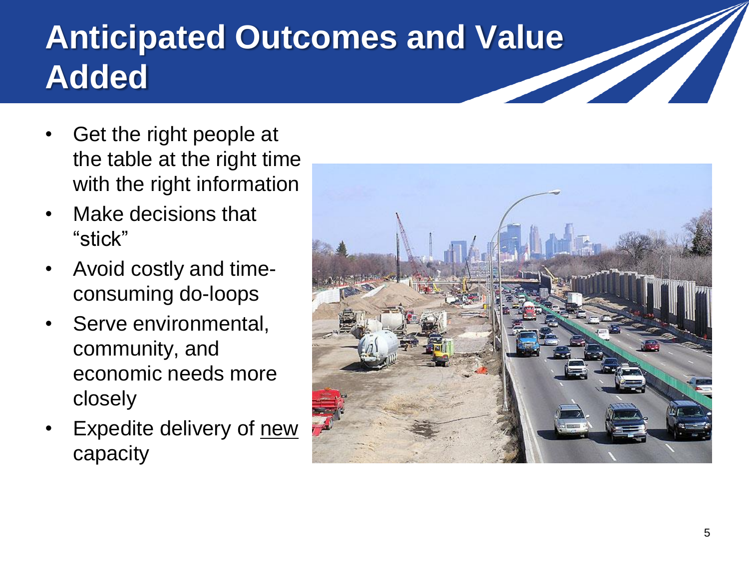## **Anticipated Outcomes and Value Added**

- Get the right people at the table at the right time with the right information
- Make decisions that "stick"
- Avoid costly and timeconsuming do-loops
- Serve environmental, community, and economic needs more closely
- Expedite delivery of new capacity

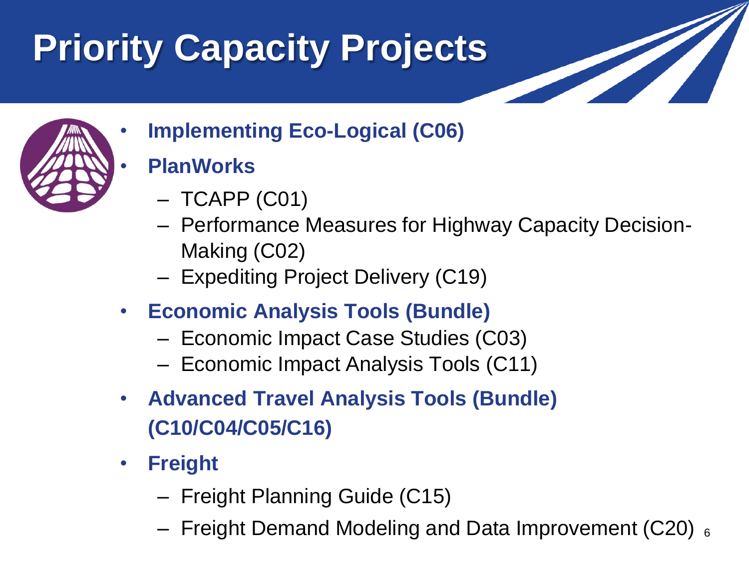# **Priority Capacity Projects**



• **Implementing Eco-Logical (C06)** 

#### • **PlanWorks**

- TCAPP (C01)
- Performance Measures for Highway Capacity Decision-Making (C02)
- Expediting Project Delivery (C19)
- **Economic Analysis Tools (Bundle)**
	- Economic Impact Case Studies (C03)
	- Economic Impact Analysis Tools (C11)
- **Advanced Travel Analysis Tools (Bundle) (C10/C04/C05/C16)**
- **Freight**
	- Freight Planning Guide (C15)
	- Freight Demand Modeling and Data Improvement (C20)  $_6$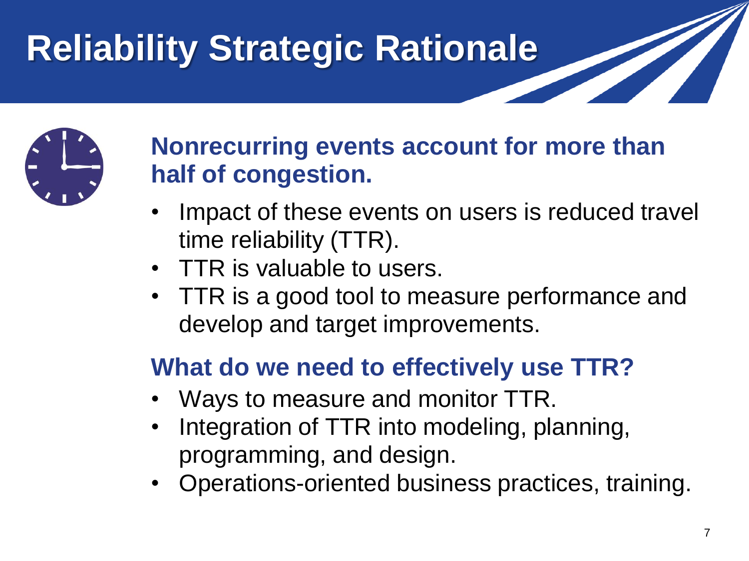## **Reliability Strategic Rationale**



### **Nonrecurring events account for more than half of congestion.**

- Impact of these events on users is reduced travel time reliability (TTR).
- TTR is valuable to users.
- TTR is a good tool to measure performance and develop and target improvements.

### **What do we need to effectively use TTR?**

- Ways to measure and monitor TTR.
- Integration of TTR into modeling, planning, programming, and design.
- Operations-oriented business practices, training.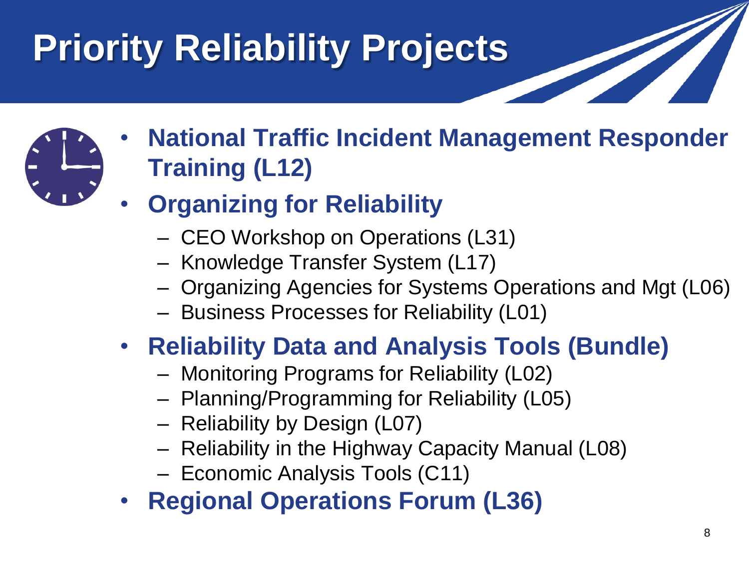# **Priority Reliability Projects**



- **National Traffic Incident Management Responder Training (L12)**
- **Organizing for Reliability**
	- CEO Workshop on Operations (L31)
	- Knowledge Transfer System (L17)
	- Organizing Agencies for Systems Operations and Mgt (L06)
	- Business Processes for Reliability (L01)
- **Reliability Data and Analysis Tools (Bundle)**
	- Monitoring Programs for Reliability (L02)
	- Planning/Programming for Reliability (L05)
	- Reliability by Design (L07)
	- Reliability in the Highway Capacity Manual (L08)
	- Economic Analysis Tools (C11)
- **Regional Operations Forum (L36)**